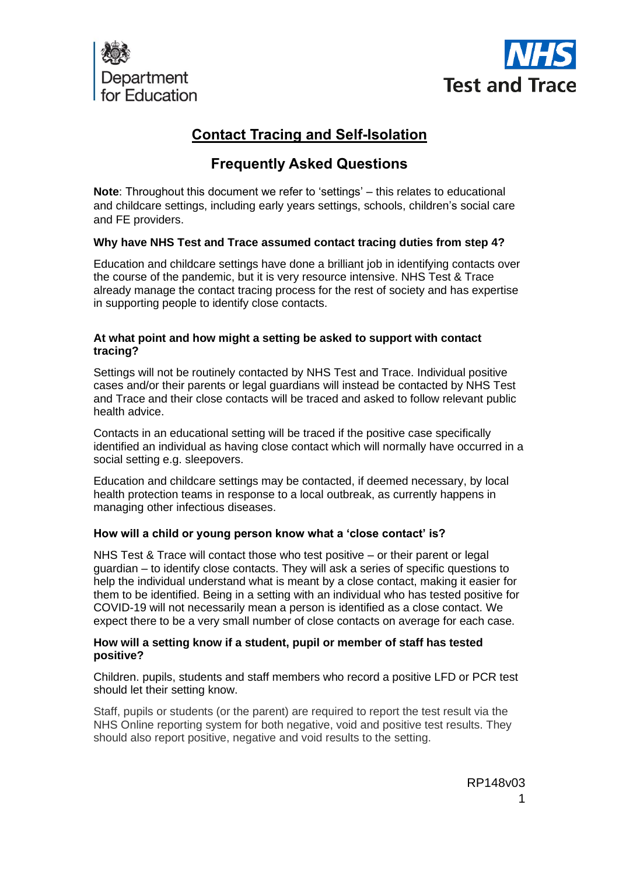



# **Contact Tracing and Self-Isolation**

# **Frequently Asked Questions**

**Note**: Throughout this document we refer to 'settings' – this relates to educational and childcare settings, including early years settings, schools, children's social care and FE providers.

# **Why have NHS Test and Trace assumed contact tracing duties from step 4?**

Education and childcare settings have done a brilliant job in identifying contacts over the course of the pandemic, but it is very resource intensive. NHS Test & Trace already manage the contact tracing process for the rest of society and has expertise in supporting people to identify close contacts.

# **At what point and how might a setting be asked to support with contact tracing?**

Settings will not be routinely contacted by NHS Test and Trace. Individual positive cases and/or their parents or legal guardians will instead be contacted by NHS Test and Trace and their close contacts will be traced and asked to follow relevant public health advice.

Contacts in an educational setting will be traced if the positive case specifically identified an individual as having close contact which will normally have occurred in a social setting e.g. sleepovers.

Education and childcare settings may be contacted, if deemed necessary, by local health protection teams in response to a local outbreak, as currently happens in managing other infectious diseases.

# **How will a child or young person know what a 'close contact' is?**

NHS Test & Trace will contact those who test positive – or their parent or legal guardian – to identify close contacts. They will ask a series of specific questions to help the individual understand what is meant by a close contact, making it easier for them to be identified. Being in a setting with an individual who has tested positive for COVID-19 will not necessarily mean a person is identified as a close contact. We expect there to be a very small number of close contacts on average for each case.

# **How will a setting know if a student, pupil or member of staff has tested positive?**

Children. pupils, students and staff members who record a positive LFD or PCR test should let their setting know.

Staff, pupils or students (or the parent) are required to report the test result via the NHS Online reporting system for both negative, void and positive test results. They should also report positive, negative and void results to the setting.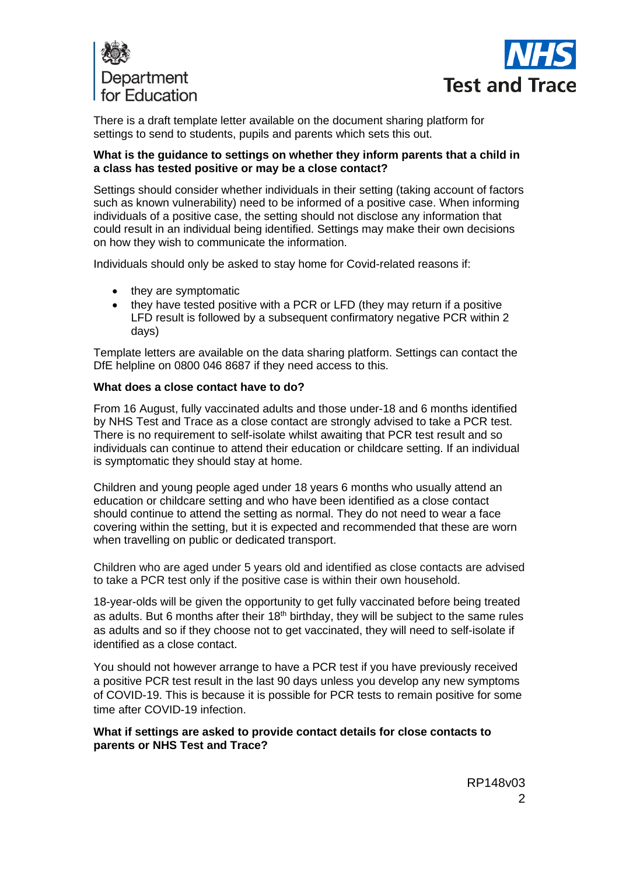



There is a draft template letter available on the document sharing platform for settings to send to students, pupils and parents which sets this out.

#### **What is the guidance to settings on whether they inform parents that a child in a class has tested positive or may be a close contact?**

Settings should consider whether individuals in their setting (taking account of factors such as known vulnerability) need to be informed of a positive case. When informing individuals of a positive case, the setting should not disclose any information that could result in an individual being identified. Settings may make their own decisions on how they wish to communicate the information.

Individuals should only be asked to stay home for Covid-related reasons if:

- they are symptomatic
- they have tested positive with a PCR or LFD (they may return if a positive LFD result is followed by a subsequent confirmatory negative PCR within 2 days)

Template letters are available on the data sharing platform. Settings can contact the DfE helpline on 0800 046 8687 if they need access to this.

#### **What does a close contact have to do?**

From 16 August, fully vaccinated adults and those under-18 and 6 months identified by NHS Test and Trace as a close contact are strongly advised to take a PCR test. There is no requirement to self-isolate whilst awaiting that PCR test result and so individuals can continue to attend their education or childcare setting. If an individual is symptomatic they should stay at home.

Children and young people aged under 18 years 6 months who usually attend an education or childcare setting and who have been identified as a close contact should continue to attend the setting as normal. They do not need to wear a face covering within the setting, but it is expected and recommended that these are worn when travelling on public or dedicated transport.

Children who are aged under 5 years old and identified as close contacts are advised to take a PCR test only if the positive case is within their own household.

18-year-olds will be given the opportunity to get fully vaccinated before being treated as adults. But 6 months after their  $18<sup>th</sup>$  birthday, they will be subject to the same rules as adults and so if they choose not to get vaccinated, they will need to self-isolate if identified as a close contact.

You should not however arrange to have a PCR test if you have previously received a positive PCR test result in the last 90 days unless you develop any new symptoms of COVID-19. This is because it is possible for PCR tests to remain positive for some time after COVID-19 infection.

#### **What if settings are asked to provide contact details for close contacts to parents or NHS Test and Trace?**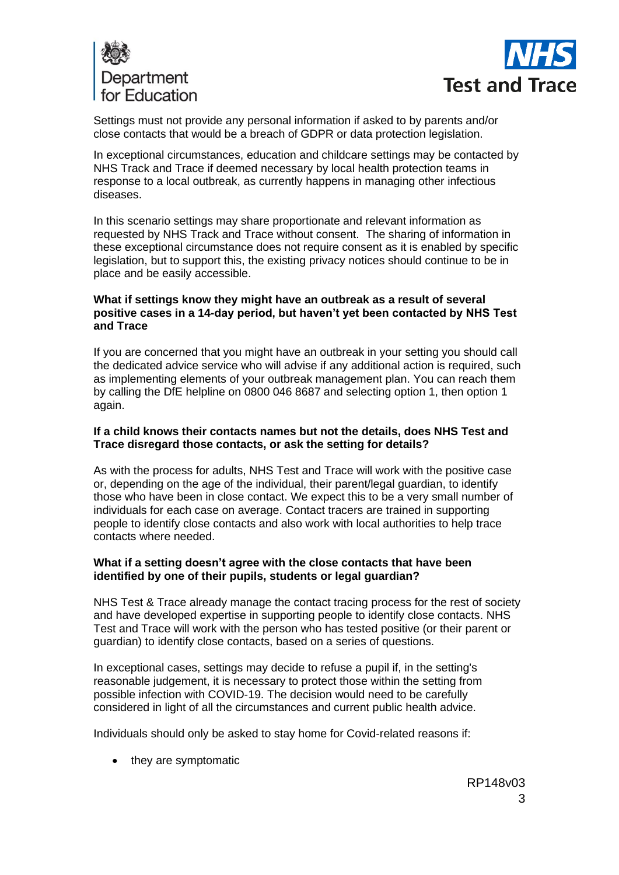



Settings must not provide any personal information if asked to by parents and/or close contacts that would be a breach of GDPR or data protection legislation.

In exceptional circumstances, education and childcare settings may be contacted by NHS Track and Trace if deemed necessary by local health protection teams in response to a local outbreak, as currently happens in managing other infectious diseases.

In this scenario settings may share proportionate and relevant information as requested by NHS Track and Trace without consent. The sharing of information in these exceptional circumstance does not require consent as it is enabled by specific legislation, but to support this, the existing privacy notices should continue to be in place and be easily accessible.

#### **What if settings know they might have an outbreak as a result of several positive cases in a 14-day period, but haven't yet been contacted by NHS Test and Trace**

If you are concerned that you might have an outbreak in your setting you should call the dedicated advice service who will advise if any additional action is required, such as implementing elements of your outbreak management plan. You can reach them by calling the DfE helpline on 0800 046 8687 and selecting option 1, then option 1 again.

#### **If a child knows their contacts names but not the details, does NHS Test and Trace disregard those contacts, or ask the setting for details?**

As with the process for adults, NHS Test and Trace will work with the positive case or, depending on the age of the individual, their parent/legal guardian, to identify those who have been in close contact. We expect this to be a very small number of individuals for each case on average. Contact tracers are trained in supporting people to identify close contacts and also work with local authorities to help trace contacts where needed.

#### **What if a setting doesn't agree with the close contacts that have been identified by one of their pupils, students or legal guardian?**

NHS Test & Trace already manage the contact tracing process for the rest of society and have developed expertise in supporting people to identify close contacts. NHS Test and Trace will work with the person who has tested positive (or their parent or guardian) to identify close contacts, based on a series of questions.

In exceptional cases, settings may decide to refuse a pupil if, in the setting's reasonable judgement, it is necessary to protect those within the setting from possible infection with COVID-19. The decision would need to be carefully considered in light of all the circumstances and current public health advice.

Individuals should only be asked to stay home for Covid-related reasons if:

• they are symptomatic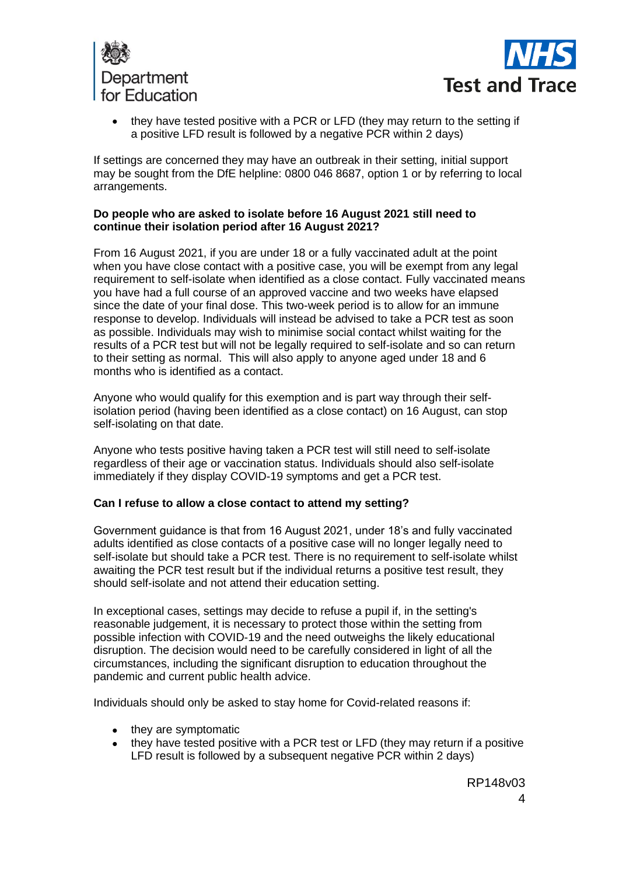



• they have tested positive with a PCR or LFD (they may return to the setting if a positive LFD result is followed by a negative PCR within 2 days)

If settings are concerned they may have an outbreak in their setting, initial support may be sought from the DfE helpline: 0800 046 8687, option 1 or by referring to local arrangements.

#### **Do people who are asked to isolate before 16 August 2021 still need to continue their isolation period after 16 August 2021?**

From 16 August 2021, if you are under 18 or a fully vaccinated adult at the point when you have close contact with a positive case, you will be exempt from any legal requirement to self-isolate when identified as a close contact. Fully vaccinated means you have had a full course of an approved vaccine and two weeks have elapsed since the date of your final dose. This two-week period is to allow for an immune response to develop. Individuals will instead be advised to take a PCR test as soon as possible. Individuals may wish to minimise social contact whilst waiting for the results of a PCR test but will not be legally required to self-isolate and so can return to their setting as normal. This will also apply to anyone aged under 18 and 6 months who is identified as a contact.

Anyone who would qualify for this exemption and is part way through their selfisolation period (having been identified as a close contact) on 16 August, can stop self-isolating on that date.

Anyone who tests positive having taken a PCR test will still need to self-isolate regardless of their age or vaccination status. Individuals should also self-isolate immediately if they display COVID-19 symptoms and get a PCR test.

# **Can I refuse to allow a close contact to attend my setting?**

Government guidance is that from 16 August 2021, under 18's and fully vaccinated adults identified as close contacts of a positive case will no longer legally need to self-isolate but should take a PCR test. There is no requirement to self-isolate whilst awaiting the PCR test result but if the individual returns a positive test result, they should self-isolate and not attend their education setting.

In exceptional cases, settings may decide to refuse a pupil if, in the setting's reasonable judgement, it is necessary to protect those within the setting from possible infection with COVID-19 and the need outweighs the likely educational disruption. The decision would need to be carefully considered in light of all the circumstances, including the significant disruption to education throughout the pandemic and current public health advice.

Individuals should only be asked to stay home for Covid-related reasons if:

- they are symptomatic
- they have tested positive with a PCR test or LFD (they may return if a positive LFD result is followed by a subsequent negative PCR within 2 days)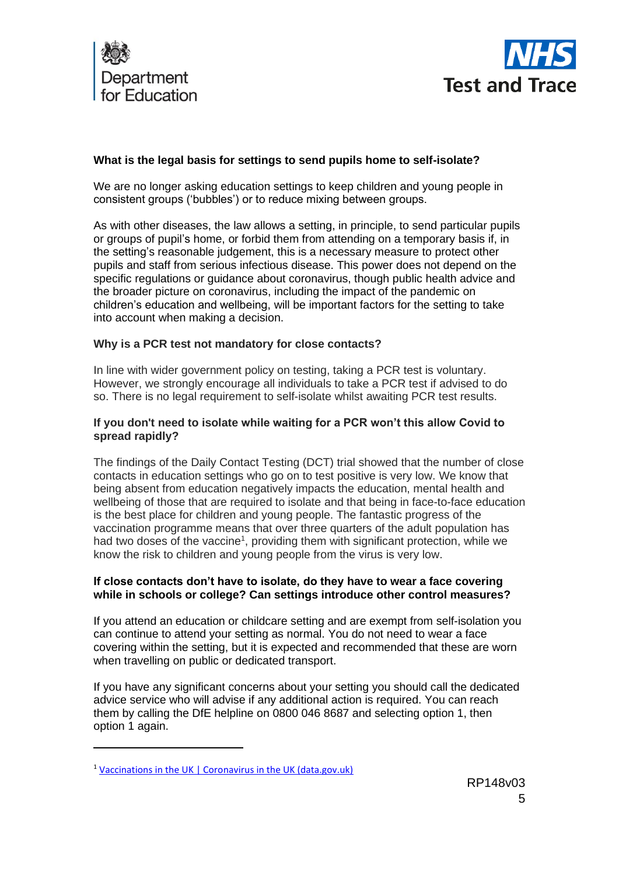



# **What is the legal basis for settings to send pupils home to self-isolate?**

We are no longer asking education settings to keep children and young people in consistent groups ('bubbles') or to reduce mixing between groups.

As with other diseases, the law allows a setting, in principle, to send particular pupils or groups of pupil's home, or forbid them from attending on a temporary basis if, in the setting's reasonable judgement, this is a necessary measure to protect other pupils and staff from serious infectious disease. This power does not depend on the specific regulations or guidance about coronavirus, though public health advice and the broader picture on coronavirus, including the impact of the pandemic on children's education and wellbeing, will be important factors for the setting to take into account when making a decision.

# **Why is a PCR test not mandatory for close contacts?**

In line with wider government policy on testing, taking a PCR test is voluntary. However, we strongly encourage all individuals to take a PCR test if advised to do so. There is no legal requirement to self-isolate whilst awaiting PCR test results.

# **If you don't need to isolate while waiting for a PCR won't this allow Covid to spread rapidly?**

The findings of the Daily Contact Testing (DCT) trial showed that the number of close contacts in education settings who go on to test positive is very low. We know that being absent from education negatively impacts the education, mental health and wellbeing of those that are required to isolate and that being in face-to-face education is the best place for children and young people. The fantastic progress of the vaccination programme means that over three quarters of the adult population has had two doses of the vaccine<sup>1</sup>, providing them with significant protection, while we know the risk to children and young people from the virus is very low.

#### **If close contacts don't have to isolate, do they have to wear a face covering while in schools or college? Can settings introduce other control measures?**

If you attend an education or childcare setting and are exempt from self-isolation you can continue to attend your setting as normal. You do not need to wear a face covering within the setting, but it is expected and recommended that these are worn when travelling on public or dedicated transport.

If you have any significant concerns about your setting you should call the dedicated advice service who will advise if any additional action is required. You can reach them by calling the DfE helpline on 0800 046 8687 and selecting option 1, then option 1 again.

<sup>1</sup> [Vaccinations in the UK | Coronavirus in the UK \(data.gov.uk\)](https://coronavirus.data.gov.uk/details/vaccinations)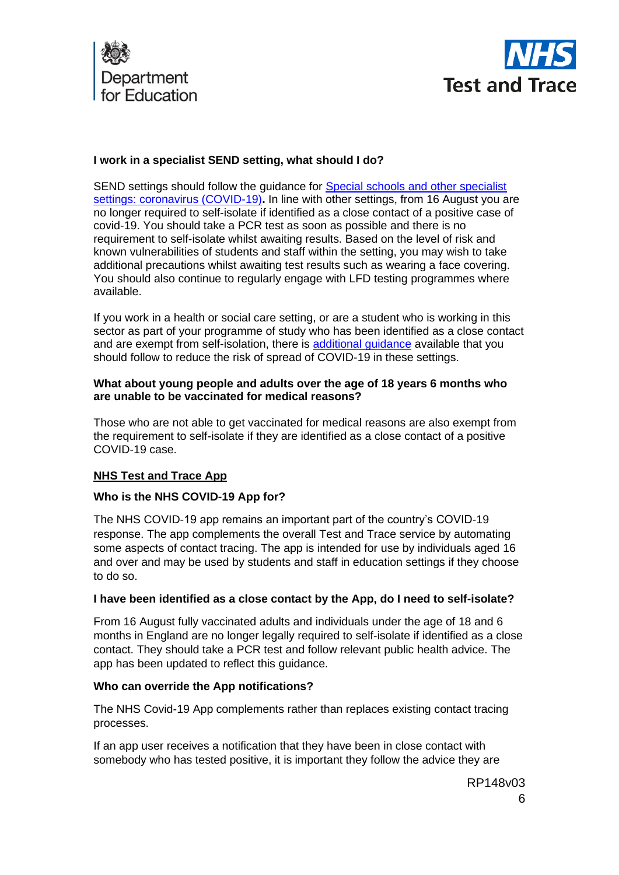



# **I work in a specialist SEND setting, what should I do?**

SEND settings should follow the guidance for [Special schools and other specialist](https://www.gov.uk/government/publications/guidance-for-full-opening-special-schools-and-other-specialist-settings)  [settings: coronavirus \(COVID-19\)](https://www.gov.uk/government/publications/guidance-for-full-opening-special-schools-and-other-specialist-settings)**.** In line with other settings, from 16 August you are no longer required to self-isolate if identified as a close contact of a positive case of covid-19. You should take a PCR test as soon as possible and there is no requirement to self-isolate whilst awaiting results. Based on the level of risk and known vulnerabilities of students and staff within the setting, you may wish to take additional precautions whilst awaiting test results such as wearing a face covering. You should also continue to regularly engage with LFD testing programmes where available.

If you work in a health or social care setting, or are a student who is working in this sector as part of your programme of study who has been identified as a close contact and are exempt from self-isolation, there is [additional guidance](https://www.gov.uk/government/publications/covid-19-management-of-exposed-healthcare-workers-and-patients-in-hospital-settings/covid-19-management-of-exposed-healthcare-workers-and-patients-in-hospital-settings) available that you should follow to reduce the risk of spread of COVID-19 in these settings.

#### **What about young people and adults over the age of 18 years 6 months who are unable to be vaccinated for medical reasons?**

Those who are not able to get vaccinated for medical reasons are also exempt from the requirement to self-isolate if they are identified as a close contact of a positive COVID-19 case.

# **NHS Test and Trace App**

# **Who is the NHS COVID-19 App for?**

The NHS COVID-19 app remains an important part of the country's COVID-19 response. The app complements the overall Test and Trace service by automating some aspects of contact tracing. The app is intended for use by individuals aged 16 and over and may be used by students and staff in education settings if they choose to do so.

# **I have been identified as a close contact by the App, do I need to self-isolate?**

From 16 August fully vaccinated adults and individuals under the age of 18 and 6 months in England are no longer legally required to self-isolate if identified as a close contact. They should take a PCR test and follow relevant public health advice. The app has been updated to reflect this guidance.

# **Who can override the App notifications?**

The NHS Covid-19 App complements rather than replaces existing contact tracing processes.

If an app user receives a notification that they have been in close contact with somebody who has tested positive, it is important they follow the advice they are